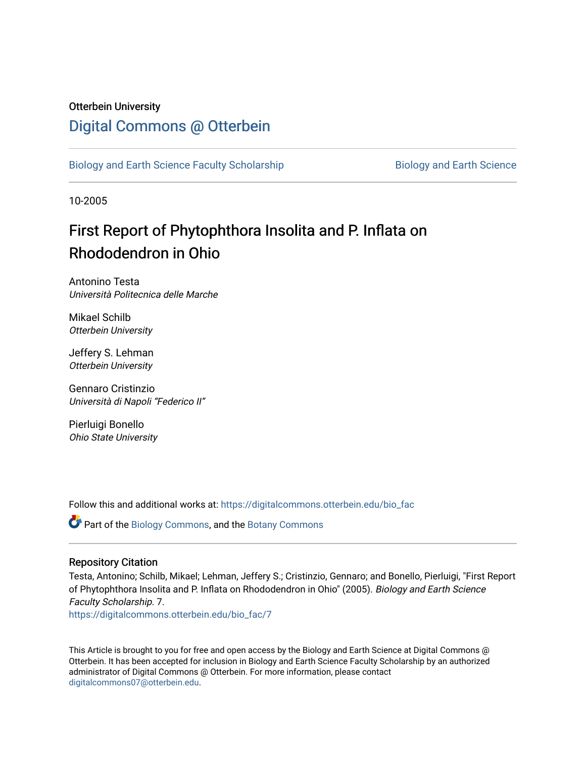#### Otterbein University

### [Digital Commons @ Otterbein](https://digitalcommons.otterbein.edu/)

[Biology and Earth Science Faculty Scholarship](https://digitalcommons.otterbein.edu/bio_fac) **Biology and Earth Science** 

10-2005

## First Report of Phytophthora Insolita and P. Inflata on Rhododendron in Ohio

Antonino Testa Università Politecnica delle Marche

Mikael Schilb Otterbein University

Jeffery S. Lehman Otterbein University

Gennaro Cristinzio Università di Napoli "Federico II"

Pierluigi Bonello Ohio State University

Follow this and additional works at: [https://digitalcommons.otterbein.edu/bio\\_fac](https://digitalcommons.otterbein.edu/bio_fac?utm_source=digitalcommons.otterbein.edu%2Fbio_fac%2F7&utm_medium=PDF&utm_campaign=PDFCoverPages)

Part of the [Biology Commons,](http://network.bepress.com/hgg/discipline/41?utm_source=digitalcommons.otterbein.edu%2Fbio_fac%2F7&utm_medium=PDF&utm_campaign=PDFCoverPages) and the [Botany Commons](http://network.bepress.com/hgg/discipline/104?utm_source=digitalcommons.otterbein.edu%2Fbio_fac%2F7&utm_medium=PDF&utm_campaign=PDFCoverPages)

#### Repository Citation

Testa, Antonino; Schilb, Mikael; Lehman, Jeffery S.; Cristinzio, Gennaro; and Bonello, Pierluigi, "First Report of Phytophthora Insolita and P. Inflata on Rhododendron in Ohio" (2005). Biology and Earth Science Faculty Scholarship. 7.

[https://digitalcommons.otterbein.edu/bio\\_fac/7](https://digitalcommons.otterbein.edu/bio_fac/7?utm_source=digitalcommons.otterbein.edu%2Fbio_fac%2F7&utm_medium=PDF&utm_campaign=PDFCoverPages)

This Article is brought to you for free and open access by the Biology and Earth Science at Digital Commons @ Otterbein. It has been accepted for inclusion in Biology and Earth Science Faculty Scholarship by an authorized administrator of Digital Commons @ Otterbein. For more information, please contact [digitalcommons07@otterbein.edu](mailto:digitalcommons07@otterbein.edu).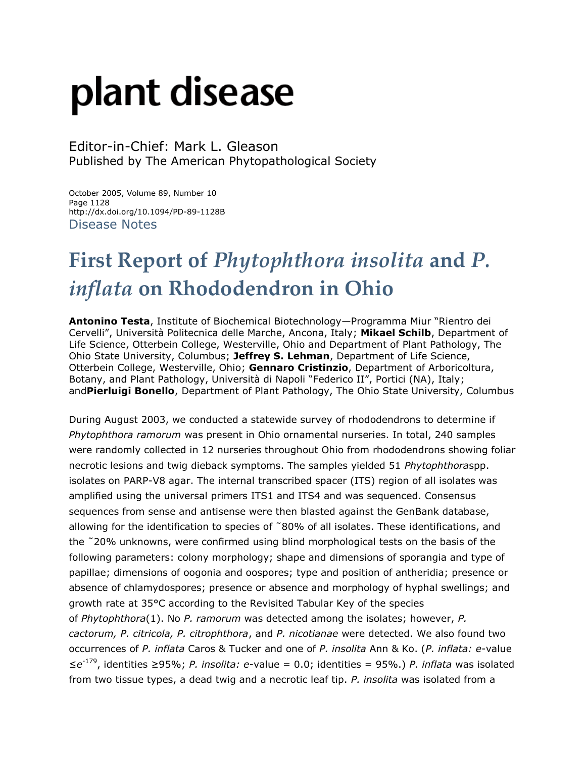# plant disease

Editor-in-Chief: Mark L. Gleason Published by The American Phytopathological Society

October 2005, Volume 89, Number 10 Page 1128 http://dx.doi.org/10.1094/PD-89-1128B Disease Notes

# **First Report of** *Phytophthora insolita* **and** *P. inflata* **on Rhododendron in Ohio**

**Antonino Testa**, Institute of Biochemical Biotechnology—Programma Miur "Rientro dei Cervelli", Università Politecnica delle Marche, Ancona, Italy; **Mikael Schilb**, Department of Life Science, Otterbein College, Westerville, Ohio and Department of Plant Pathology, The Ohio State University, Columbus; **Jeffrey S. Lehman**, Department of Life Science, Otterbein College, Westerville, Ohio; **Gennaro Cristinzio**, Department of Arboricoltura, Botany, and Plant Pathology, Università di Napoli "Federico II", Portici (NA), Italy; and**Pierluigi Bonello**, Department of Plant Pathology, The Ohio State University, Columbus

During August 2003, we conducted a statewide survey of rhododendrons to determine if *Phytophthora ramorum* was present in Ohio ornamental nurseries. In total, 240 samples were randomly collected in 12 nurseries throughout Ohio from rhododendrons showing foliar necrotic lesions and twig dieback symptoms. The samples yielded 51 *Phytophthora*spp. isolates on PARP-V8 agar. The internal transcribed spacer (ITS) region of all isolates was amplified using the universal primers ITS1 and ITS4 and was sequenced. Consensus sequences from sense and antisense were then blasted against the GenBank database, allowing for the identification to species of ˜80% of all isolates. These identifications, and the ˜20% unknowns, were confirmed using blind morphological tests on the basis of the following parameters: colony morphology; shape and dimensions of sporangia and type of papillae; dimensions of oogonia and oospores; type and position of antheridia; presence or absence of chlamydospores; presence or absence and morphology of hyphal swellings; and growth rate at 35°C according to the Revisited Tabular Key of the species of *Phytophthora*(1). No *P. ramorum* was detected among the isolates; however, *P. cactorum, P. citricola, P. citrophthora*, and *P. nicotianae* were detected. We also found two occurrences of *P. inflata* Caros & Tucker and one of *P. insolita* Ann & Ko. (*P. inflata: e*-value ≤*e* -179, identities ≥95%; *P. insolita: e*-value = 0.0; identities = 95%.) *P. inflata* was isolated from two tissue types, a dead twig and a necrotic leaf tip. *P. insolita* was isolated from a